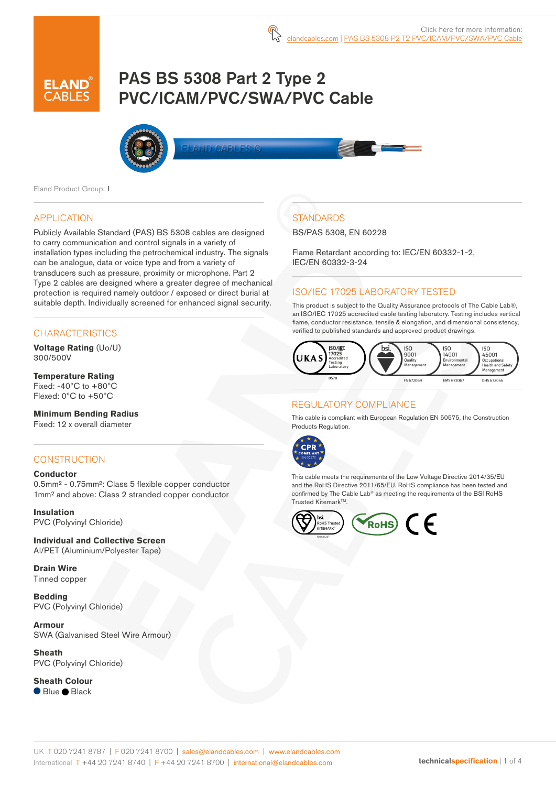# PAS BS 5308 Part 2 Type 2 PVC/ICAM/PVC/SWA/PVC Cable



Eland Product Group: I

### APPLICATION

Publicly Available Standard (PAS) BS 5308 cables are designed to carry communication and control signals in a variety of installation types including the petrochemical industry. The signals can be analogue, data or voice type and from a variety of transducers such as pressure, proximity or microphone. Part 2 Type 2 cables are designed where a greater degree of mechanical protection is required namely outdoor / exposed or direct burial at suitable depth. Individually screened for enhanced signal security.

### **CHARACTERISTICS**

**Voltage Rating** (Uo/U) 300/500V

#### **Temperature Rating** Fixed: -40ºC to +80ºC Flexed: 0ºC to +50ºC

**Minimum Bending Radius**  Fixed: 12 x overall diameter

### **CONSTRUCTION**

#### **Conductor**

0.5mm² - 0.75mm²: Class 5 flexible copper conductor 1mm² and above: Class 2 stranded copper conductor

**Insulation** PVC (Polyvinyl Chloride)

**Individual and Collective Screen** Al/PET (Aluminium/Polyester Tape)

**Drain Wire** Tinned copper

**Bedding** PVC (Polyvinyl Chloride)

**Armour** SWA (Galvanised Steel Wire Armour)

**Sheath** PVC (Polyvinyl Chloride)

**Sheath Colour** ● Blue ● Black

## **STANDARDS**

BS/PAS 5308, EN 60228

Flame Retardant according to: IEC/EN 60332-1-2, IEC/EN 60332-3-24

### ISO/IEC 17025 LABORATORY TESTED

This product is subject to the Quality Assurance protocols of The Cable Lab®, an ISO/IEC 17025 accredited cable testing laboratory. Testing includes vertical flame, conductor resistance, tensile & elongation, and dimensional consistency, verified to published standards and approved product drawings.



### REGULATORY COMPLIANCE

This cable is compliant with European Regulation EN 50575, the Construction Products Regulation.



This cable meets the requirements of the Low Voltage Directive 2014/35/EU and the RoHS Directive 2011/65/EU. RoHS compliance has been tested and confirmed by The Cable Lab® as meeting the requirements of the BSI RoHS Trusted Kitemark™.

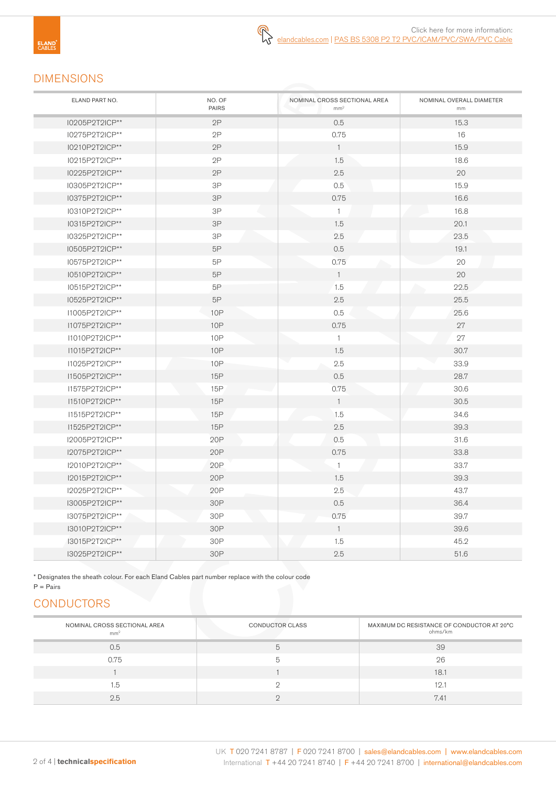## DIMENSIONS

| ELAND PART NO. | NO. OF<br><b>PAIRS</b> | NOMINAL CROSS SECTIONAL AREA<br>mm <sup>2</sup> | NOMINAL OVERALL DIAMETER<br>$\mathsf{mm}$ |
|----------------|------------------------|-------------------------------------------------|-------------------------------------------|
| I0205P2T2ICP** | 2P                     | 0.5                                             | 15.3                                      |
| I0275P2T2ICP** | 2P                     | 0.75                                            | 16                                        |
| I0210P2T2ICP** | 2P                     | $\mathbf{1}$                                    | 15.9                                      |
| I0215P2T2ICP** | 2P                     | 1.5                                             | 18.6                                      |
| I0225P2T2ICP** | 2P                     | 2.5                                             | 20                                        |
| I0305P2T2ICP** | 3P                     | 0.5                                             | 15.9                                      |
| 10375P2T2ICP** | 3P                     | 0.75                                            | 16.6                                      |
| 10310P2T2ICP** | 3P                     | $\overline{1}$                                  | 16.8                                      |
| 10315P2T2ICP** | 3P                     | 1.5                                             | 20.1                                      |
| 10325P2T2ICP** | $3\mathsf{P}$          | 2.5                                             | 23.5                                      |
| 10505P2T2ICP** | 5P                     | 0.5                                             | 19.1                                      |
| I0575P2T2ICP** | 5P                     | 0.75                                            | 20                                        |
| I0510P2T2ICP** | 5P                     | $\overline{1}$                                  | 20                                        |
| I0515P2T2ICP** | 5P                     | 1.5                                             | 22.5                                      |
| I0525P2T2ICP** | 5P                     | 2.5                                             | 25.5                                      |
| I1005P2T2ICP** | <b>10P</b>             | 0.5                                             | 25.6                                      |
| I1075P2T2ICP** | <b>10P</b>             | 0.75                                            | 27                                        |
| I1010P2T2ICP** | 10 <sub>P</sub>        | $\mathbf{1}$                                    | 27                                        |
| I1015P2T2ICP** | <b>10P</b>             | 1.5                                             | 30.7                                      |
| I1025P2T2ICP** | 10P                    | 2.5                                             | 33.9                                      |
| 11505P2T2ICP** | 15P                    | 0.5                                             | 28.7                                      |
| I1575P2T2ICP** | 15P                    | 0.75                                            | 30.6                                      |
| I1510P2T2ICP** | 15P                    | $\mathbf{1}$                                    | 30.5                                      |
| I1515P2T2ICP** | 15P                    | 1.5                                             | 34.6                                      |
| I1525P2T2ICP** | <b>15P</b>             | 2.5                                             | 39.3                                      |
| I2005P2T2ICP** | 20P                    | 0.5                                             | 31.6                                      |
| I2075P2T2ICP** | 20P                    | 0.75                                            | 33.8                                      |
| I2010P2T2ICP** | 20P                    | $\mathbf{1}$                                    | 33.7                                      |
| 12015P2T2ICP** | 20P                    | 1.5                                             | 39.3                                      |
| I2025P2T2ICP** | 20P                    | 2.5                                             | 43.7                                      |
| 13005P2T2ICP** | 30P                    | 0.5                                             | 36.4                                      |
| 13075P2T2ICP** | 30P                    | 0.75                                            | 39.7                                      |
| 13010P2T2ICP** | 30P                    | $\overline{1}$                                  | 39.6                                      |
| 13015P2T2ICP** | 30P                    | 1.5                                             | 45.2                                      |
| I3025P2T2ICP** | 30P                    | 2.5                                             | 51.6                                      |

\* Designates the sheath colour. For each Eland Cables part number replace with the colour code

#### $P = \text{Pairs}$

## **CONDUCTORS**

| NOMINAL CROSS SECTIONAL AREA<br>mm <sup>2</sup> | CONDUCTOR CLASS | MAXIMUM DC RESISTANCE OF CONDUCTOR AT 20°C<br>ohms/km |
|-------------------------------------------------|-----------------|-------------------------------------------------------|
| 0.5                                             |                 | 39                                                    |
| 0.75                                            |                 | 26                                                    |
|                                                 |                 | 18.1                                                  |
| 1.5                                             |                 | 12.7                                                  |
| 2.5                                             |                 | 7.41                                                  |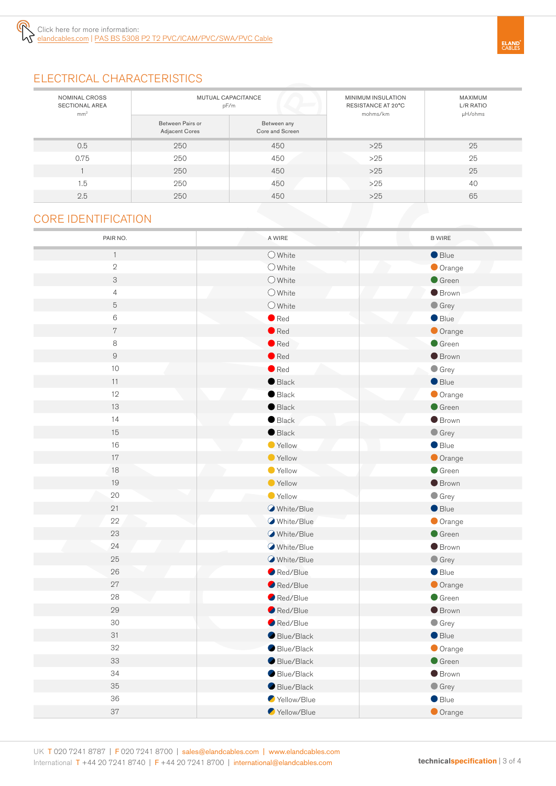

# **ELAND**<br>CABLES

# ELECTRICAL CHARACTERISTICS

| NOMINAL CROSS<br><b>SECTIONAL AREA</b><br>mm <sup>2</sup> | MUTUAL CAPACITANCE<br>pF/m         |                                | MINIMUM INSULATION<br>RESISTANCE AT 20°C<br>mohms/km | <b>MAXIMUM</b><br>L/R RATIO<br>µH/ohms |
|-----------------------------------------------------------|------------------------------------|--------------------------------|------------------------------------------------------|----------------------------------------|
|                                                           | Between Pairs or<br>Adjacent Cores | Between any<br>Core and Screen |                                                      |                                        |
| 0.5                                                       | 250                                | 450                            | $>25$                                                | 25                                     |
| 0.75                                                      | 250                                | 450                            | $>25$                                                | 25                                     |
|                                                           | 250                                | 450                            | $>25$                                                | 25                                     |
| 1.5                                                       | 250                                | 450                            | $>25$                                                | 40                                     |
| 2.5                                                       | 250                                | 450                            | $>25$                                                | 65                                     |

## CORE IDENTIFICATION

| PAIR NO.       | A WIRE           | <b>B WIRE</b>   |
|----------------|------------------|-----------------|
| $\mathbf{1}$   | $\bigcirc$ White | Blue            |
| $\sqrt{2}$     | $\bigcirc$ White | Orange          |
| 3              | $\bigcirc$ White | $\bullet$ Green |
| $\overline{4}$ | $O$ White        | <b>Brown</b>    |
| 5              | $\bigcirc$ White | $\bullet$ Grey  |
| 6              | $\bullet$ Red    | Blue            |
| $\overline{7}$ | $\bullet$ Red    | Orange          |
| 8              | $\bullet$ Red    | Green           |
| $\hbox{g}$     | $\bullet$ Red    | <b>Brown</b>    |
| $10$           | $\bullet$ Red    | $\bullet$ Grey  |
| 11             | $\bullet$ Black  | Blue            |
| 12             | $\bullet$ Black  | Orange          |
| 13             | $\bullet$ Black  | Green           |
| 14             | $\bullet$ Black  | <b>Brown</b>    |
| 15             | $\bullet$ Black  | $\bullet$ Grey  |
| 16             | Yellow           | $\bullet$ Blue  |
| 17             | ● Yellow         | Orange          |
| 18             | ● Yellow         | $\bullet$ Green |
| 19             | ● Yellow         | <b>Brown</b>    |
| 20             | Yellow           | $\bullet$ Grey  |
| 21             | White/Blue       | Blue            |
| 22             | White/Blue       | Orange          |
| 23             | White/Blue       | $\bullet$ Green |
| 24             | White/Blue       | <b>Brown</b>    |
| 25             | White/Blue       | $\bullet$ Grey  |
| 26             | Red/Blue         | Blue            |
| 27             | Red/Blue         | Orange          |
| 28             | Red/Blue         | $\bullet$ Green |
| 29             | Red/Blue         | <b>Brown</b>    |
| 30             | Red/Blue         | $\bullet$ Grey  |
| 31             | Blue/Black       | Blue            |
| 32             | Blue/Black       | Orange          |
| 33             | Blue/Black       | $\bullet$ Green |
| 34             | Blue/Black       | <b>Brown</b>    |
| 35             | Blue/Black       | $\bullet$ Grey  |
| 36             | Yellow/Blue      | $\bullet$ Blue  |
| 37             | Yellow/Blue      | Orange          |